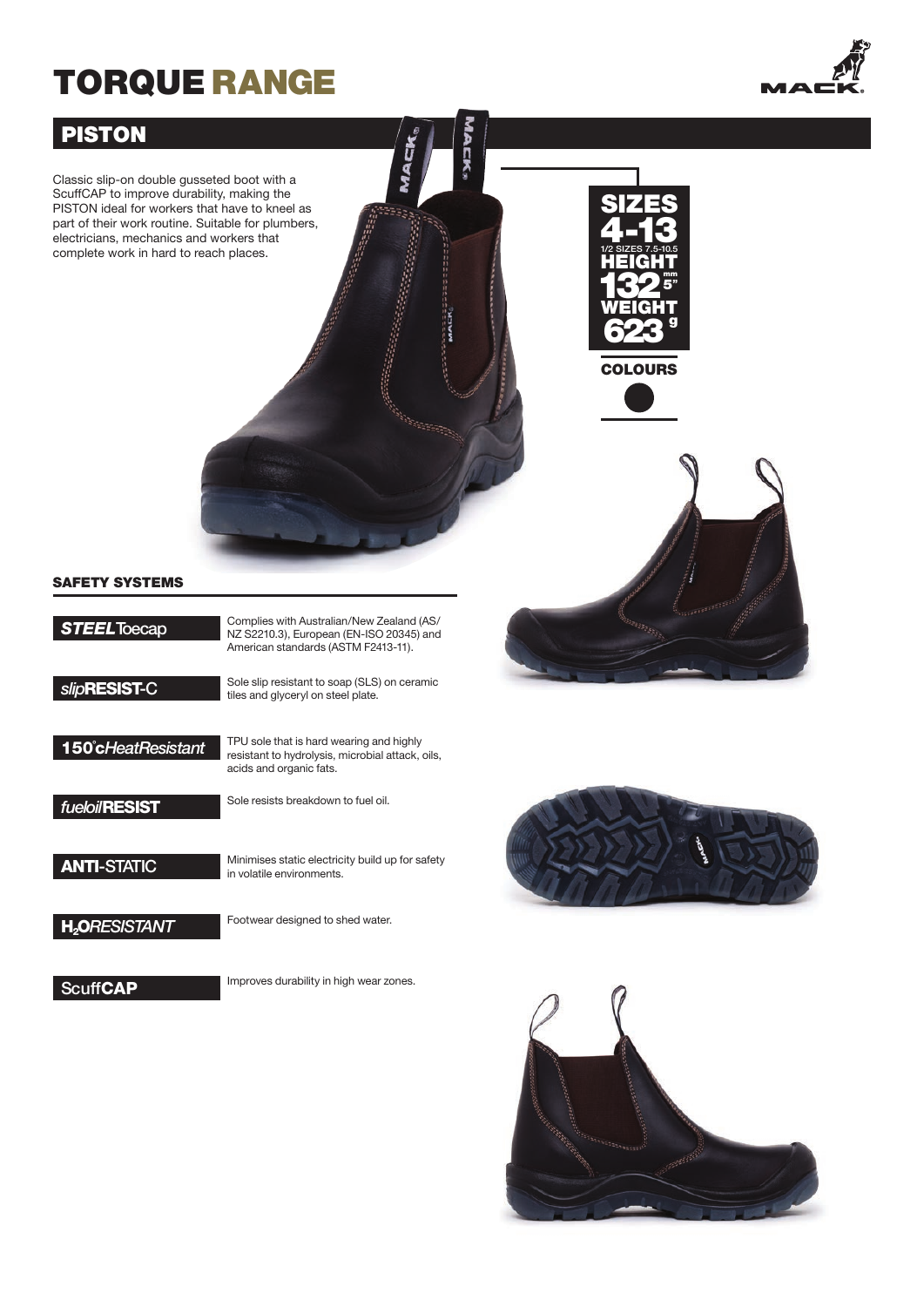# TORQUE RANGE